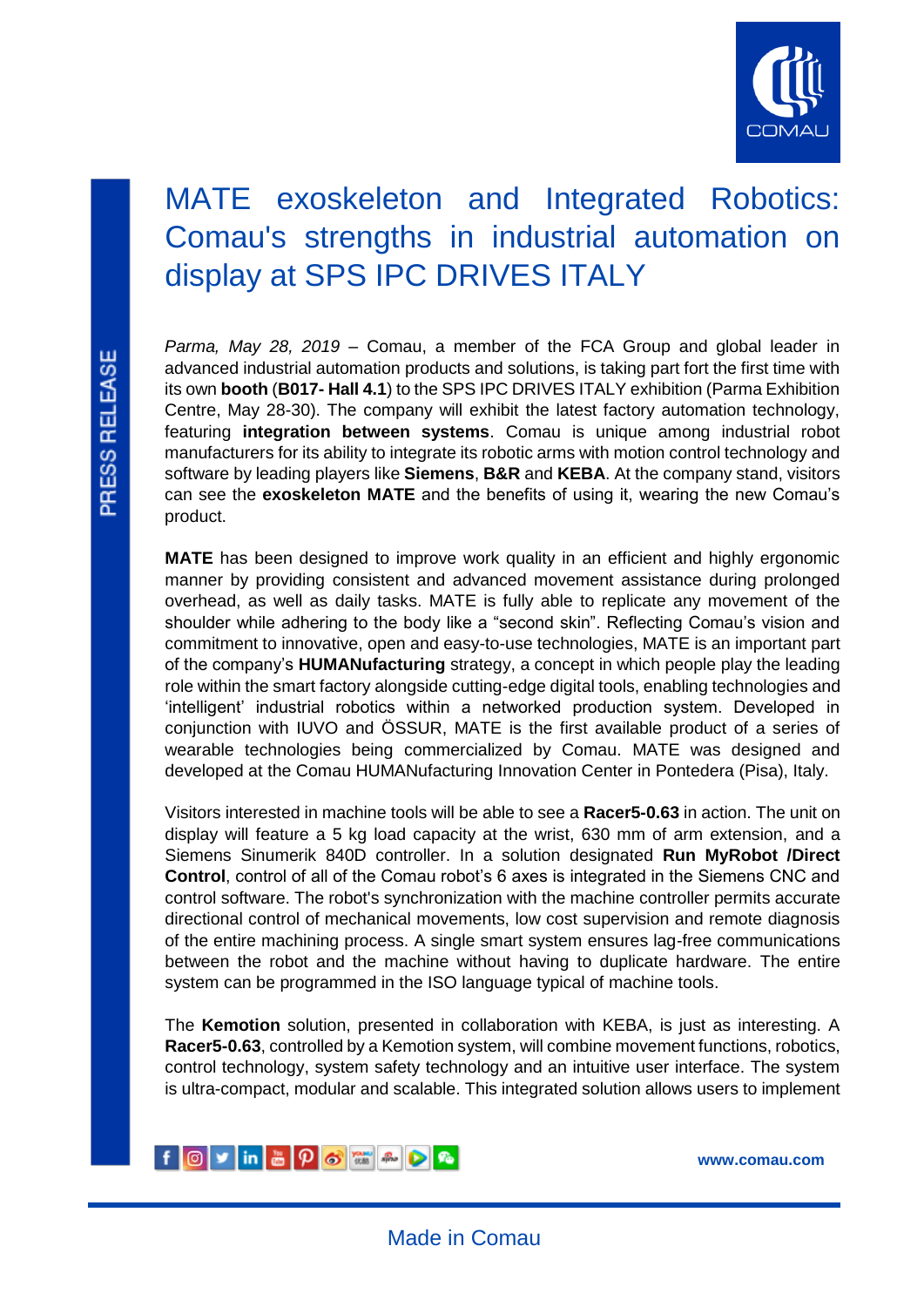

# MATE exoskeleton and Integrated Robotics: Comau's strengths in industrial automation on display at SPS IPC DRIVES ITALY

*Parma, May 28, 2019* – Comau, a member of the FCA Group and global leader in advanced industrial automation products and solutions, is taking part fort the first time with its own **booth** (**B017- Hall 4.1**) to the SPS IPC DRIVES ITALY exhibition (Parma Exhibition Centre, May 28-30). The company will exhibit the latest factory automation technology, featuring **integration between systems**. Comau is unique among industrial robot manufacturers for its ability to integrate its robotic arms with motion control technology and software by leading players like **Siemens**, **B&R** and **KEBA**. At the company stand, visitors can see the **exoskeleton MATE** and the benefits of using it, wearing the new Comau's product.

**MATE** has been designed to improve work quality in an efficient and highly ergonomic manner by providing consistent and advanced movement assistance during prolonged overhead, as well as daily tasks. MATE is fully able to replicate any movement of the shoulder while adhering to the body like a "second skin". Reflecting Comau's vision and commitment to innovative, open and easy-to-use technologies, MATE is an important part of the company's **HUMANufacturing** strategy, a concept in which people play the leading role within the smart factory alongside cutting-edge digital tools, enabling technologies and 'intelligent' industrial robotics within a networked production system. Developed in conjunction with IUVO and ÖSSUR, MATE is the first available product of a series of wearable technologies being commercialized by Comau. MATE was designed and developed at the Comau HUMANufacturing Innovation Center in Pontedera (Pisa), Italy.

Visitors interested in machine tools will be able to see a **Racer5-0.63** in action. The unit on display will feature a 5 kg load capacity at the wrist, 630 mm of arm extension, and a Siemens Sinumerik 840D controller. In a solution designated **Run MyRobot /Direct Control**, control of all of the Comau robot's 6 axes is integrated in the Siemens CNC and control software. The robot's synchronization with the machine controller permits accurate directional control of mechanical movements, low cost supervision and remote diagnosis of the entire machining process. A single smart system ensures lag-free communications between the robot and the machine without having to duplicate hardware. The entire system can be programmed in the ISO language typical of machine tools.

The **Kemotion** solution, presented in collaboration with KEBA, is just as interesting. A **Racer5-0.63**, controlled by a Kemotion system, will combine movement functions, robotics, control technology, system safety technology and an intuitive user interface. The system is ultra-compact, modular and scalable. This integrated solution allows users to implement

f O y in & P 6 & A D &

**[www.comau.com](http://www.comau.com/EN)**

ľ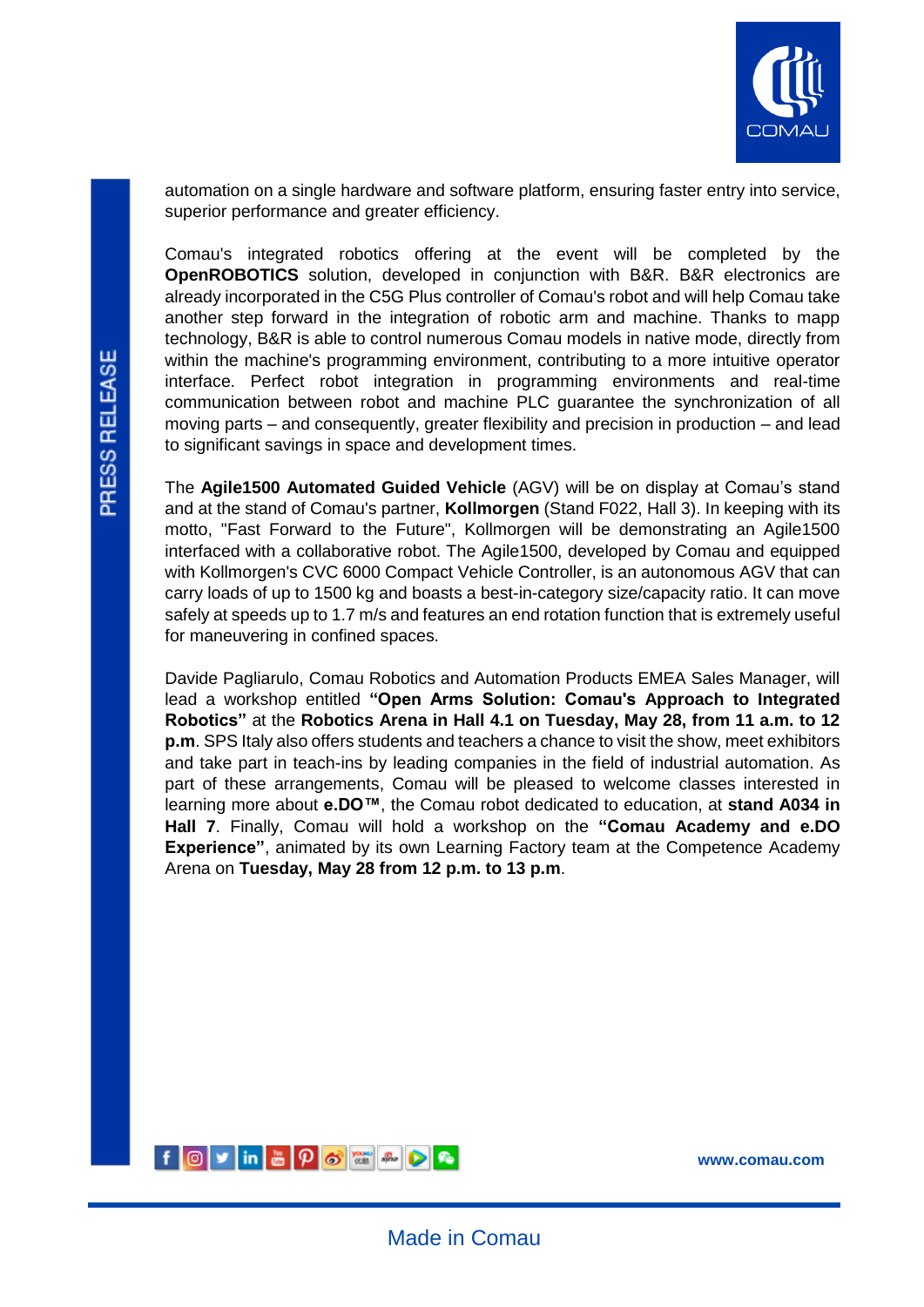

automation on a single hardware and software platform, ensuring faster entry into service, superior performance and greater efficiency.

Comau's integrated robotics offering at the event will be completed by the **OpenROBOTICS** solution, developed in conjunction with B&R. B&R electronics are already incorporated in the C5G Plus controller of Comau's robot and will help Comau take another step forward in the integration of robotic arm and machine. Thanks to mapp technology, B&R is able to control numerous Comau models in native mode, directly from within the machine's programming environment, contributing to a more intuitive operator interface. Perfect robot integration in programming environments and real-time communication between robot and machine PLC guarantee the synchronization of all moving parts – and consequently, greater flexibility and precision in production – and lead to significant savings in space and development times.

The **Agile1500 Automated Guided Vehicle** (AGV) will be on display at Comau's stand and at the stand of Comau's partner, **Kollmorgen** (Stand F022, Hall 3). In keeping with its motto, "Fast Forward to the Future", Kollmorgen will be demonstrating an Agile1500 interfaced with a collaborative robot. The Agile1500, developed by Comau and equipped with Kollmorgen's CVC 6000 Compact Vehicle Controller, is an autonomous AGV that can carry loads of up to 1500 kg and boasts a best-in-category size/capacity ratio. It can move safely at speeds up to 1.7 m/s and features an end rotation function that is extremely useful for maneuvering in confined spaces.

Davide Pagliarulo, Comau Robotics and Automation Products EMEA Sales Manager, will lead a workshop entitled **"Open Arms Solution: Comau's Approach to Integrated Robotics"** at the **Robotics Arena in Hall 4.1 on Tuesday, May 28, from 11 a.m. to 12 p.m**. SPS Italy also offers students and teachers a chance to visit the show, meet exhibitors and take part in teach-ins by leading companies in the field of industrial automation. As part of these arrangements, Comau will be pleased to welcome classes interested in learning more about **e.DO™**, the Comau robot dedicated to education, at **stand A034 in Hall 7**. Finally, Comau will hold a workshop on the **"Comau Academy and e.DO Experience"**, animated by its own Learning Factory team at the Competence Academy Arena on **Tuesday, May 28 from 12 p.m. to 13 p.m**.



**[www.comau.com](http://www.comau.com/EN)**

ľ